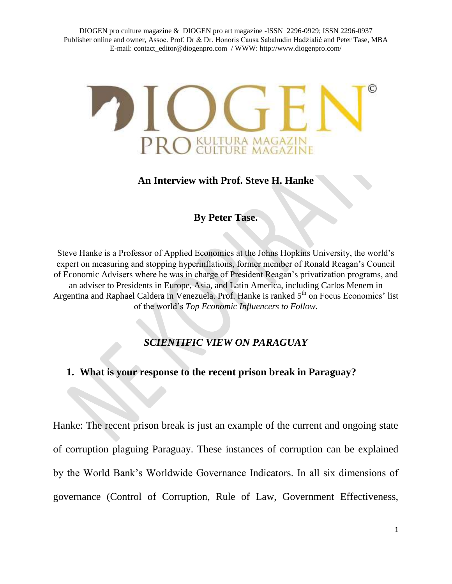DIOGEN pro culture magazine & DIOGEN pro art magazine -ISSN 2296-0929; ISSN 2296-0937 Publisher online and owner, Assoc. Prof. Dr & Dr. Honoris Causa Sabahudin Hadžialić and Peter Tase, MBA E-mail: [contact\\_editor@diogenpro.com](mailto:contact_editor@diogenpro.com) / WWW: http://www.diogenpro.com/



### **An Interview with Prof. Steve H. Hanke**

## **By Peter Tase.**

Steve Hanke is a Professor of Applied Economics at the Johns Hopkins University, the world's expert on measuring and stopping hyperinflations, former member of Ronald Reagan's Council of Economic Advisers where he was in charge of President Reagan's privatization programs, and an adviser to Presidents in Europe, Asia, and Latin America, including Carlos Menem in Argentina and Raphael Caldera in Venezuela. Prof. Hanke is ranked 5<sup>th</sup> on Focus Economics' list of the world's *Top Economic Influencers to Follow.*

# *SCIENTIFIC VIEW ON PARAGUAY*

### **1. What is your response to the recent prison break in Paraguay?**

Hanke: The recent prison break is just an example of the current and ongoing state of corruption plaguing Paraguay. These instances of corruption can be explained by the World Bank's Worldwide Governance Indicators. In all six dimensions of governance (Control of Corruption, Rule of Law, Government Effectiveness,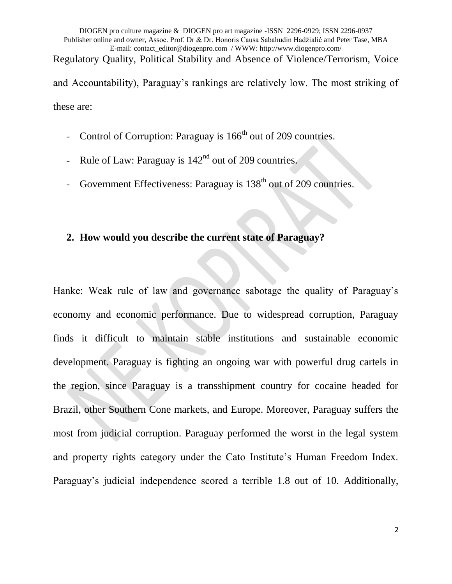DIOGEN pro culture magazine & DIOGEN pro art magazine -ISSN 2296-0929; ISSN 2296-0937 Publisher online and owner, Assoc. Prof. Dr & Dr. Honoris Causa Sabahudin Hadžialić and Peter Tase, MBA E-mail: [contact\\_editor@diogenpro.com](mailto:contact_editor@diogenpro.com) / WWW: http://www.diogenpro.com/ Regulatory Quality, Political Stability and Absence of Violence/Terrorism, Voice and Accountability), Paraguay's rankings are relatively low. The most striking of these are:

- Control of Corruption: Paraguay is  $166<sup>th</sup>$  out of 209 countries.
- Rule of Law: Paraguay is  $142<sup>nd</sup>$  out of 209 countries.
- Government Effectiveness: Paraguay is  $138<sup>th</sup>$  out of 209 countries.

## **2. How would you describe the current state of Paraguay?**

Hanke: Weak rule of law and governance sabotage the quality of Paraguay's economy and economic performance. Due to widespread corruption, Paraguay finds it difficult to maintain stable institutions and sustainable economic development. Paraguay is fighting an ongoing war with powerful drug cartels in the region, since Paraguay is a transshipment country for cocaine headed for Brazil, other Southern Cone markets, and Europe. Moreover, Paraguay suffers the most from judicial corruption. Paraguay performed the worst in the legal system and property rights category under the Cato Institute's Human Freedom Index. Paraguay's judicial independence scored a terrible 1.8 out of 10. Additionally,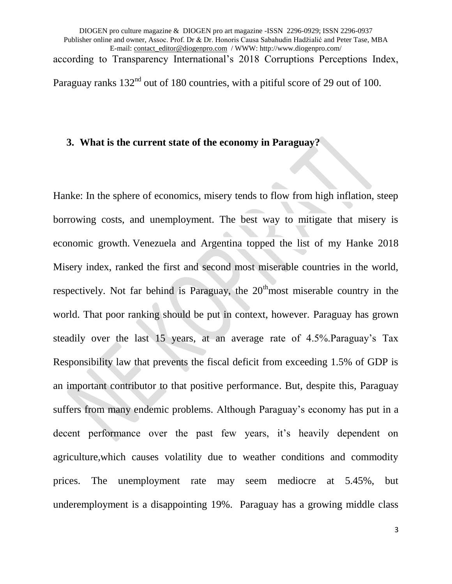DIOGEN pro culture magazine & DIOGEN pro art magazine -ISSN 2296-0929; ISSN 2296-0937 Publisher online and owner, Assoc. Prof. Dr & Dr. Honoris Causa Sabahudin Hadžialić and Peter Tase, MBA E-mail: [contact\\_editor@diogenpro.com](mailto:contact_editor@diogenpro.com) / WWW: http://www.diogenpro.com/ according to Transparency International's 2018 Corruptions Perceptions Index, Paraguay ranks 132<sup>nd</sup> out of 180 countries, with a pitiful score of 29 out of 100.

### **3. What is the current state of the economy in Paraguay?**

Hanke: In the sphere of economics, misery tends to flow from high inflation, steep borrowing costs, and unemployment. The best way to mitigate that misery is economic growth. Venezuela and Argentina topped the list of my Hanke 2018 Misery index, ranked the first and second most miserable countries in the world, respectively. Not far behind is Paraguay, the  $20<sup>th</sup>$  most miserable country in the world. That poor ranking should be put in context, however. Paraguay has grown steadily over the last 15 years, at an average rate of 4.5%.Paraguay's Tax Responsibility law that prevents the fiscal deficit from exceeding 1.5% of GDP is an important contributor to that positive performance. But, despite this, Paraguay suffers from many endemic problems. Although Paraguay's economy has put in a decent performance over the past few years, it's heavily dependent on agriculture,which causes volatility due to weather conditions and commodity prices. The unemployment rate may seem mediocre at 5.45%, but underemployment is a disappointing 19%. Paraguay has a growing middle class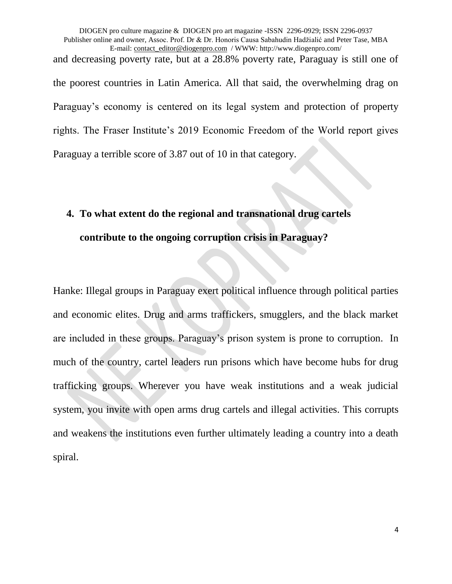DIOGEN pro culture magazine & DIOGEN pro art magazine -ISSN 2296-0929; ISSN 2296-0937 Publisher online and owner, Assoc. Prof. Dr & Dr. Honoris Causa Sabahudin Hadžialić and Peter Tase, MBA E-mail: [contact\\_editor@diogenpro.com](mailto:contact_editor@diogenpro.com) / WWW: http://www.diogenpro.com/ and decreasing poverty rate, but at a 28.8% poverty rate, Paraguay is still one of the poorest countries in Latin America. All that said, the overwhelming drag on Paraguay's economy is centered on its legal system and protection of property rights. The Fraser Institute's 2019 Economic Freedom of the World report gives Paraguay a terrible score of 3.87 out of 10 in that category.

## **4. To what extent do the regional and transnational drug cartels**

### **contribute to the ongoing corruption crisis in Paraguay?**

Hanke: Illegal groups in Paraguay exert political influence through political parties and economic elites. Drug and arms traffickers, smugglers, and the black market are included in these groups. Paraguay's prison system is prone to corruption. In much of the country, cartel leaders run prisons which have become hubs for drug trafficking groups. Wherever you have weak institutions and a weak judicial system, you invite with open arms drug cartels and illegal activities. This corrupts and weakens the institutions even further ultimately leading a country into a death spiral.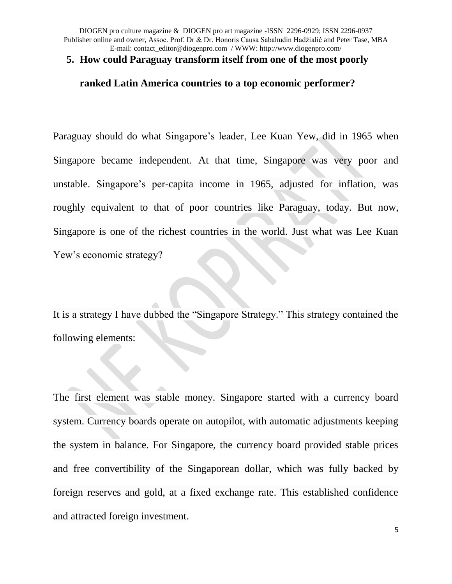DIOGEN pro culture magazine & DIOGEN pro art magazine -ISSN 2296-0929; ISSN 2296-0937 Publisher online and owner, Assoc. Prof. Dr & Dr. Honoris Causa Sabahudin Hadžialić and Peter Tase, MBA E-mail: [contact\\_editor@diogenpro.com](mailto:contact_editor@diogenpro.com) / WWW: http://www.diogenpro.com/

#### **5. How could Paraguay transform itself from one of the most poorly**

#### **ranked Latin America countries to a top economic performer?**

Paraguay should do what Singapore's leader, Lee Kuan Yew, did in 1965 when Singapore became independent. At that time, Singapore was very poor and unstable. Singapore's per-capita income in 1965, adjusted for inflation, was roughly equivalent to that of poor countries like Paraguay, today. But now, Singapore is one of the richest countries in the world. Just what was Lee Kuan Yew's economic strategy?

It is a strategy I have dubbed the "Singapore Strategy." This strategy contained the following elements:

The first element was stable money. Singapore started with a currency board system. Currency boards operate on autopilot, with automatic adjustments keeping the system in balance. For Singapore, the currency board provided stable prices and free convertibility of the Singaporean dollar, which was fully backed by foreign reserves and gold, at a fixed exchange rate. This established confidence and attracted foreign investment.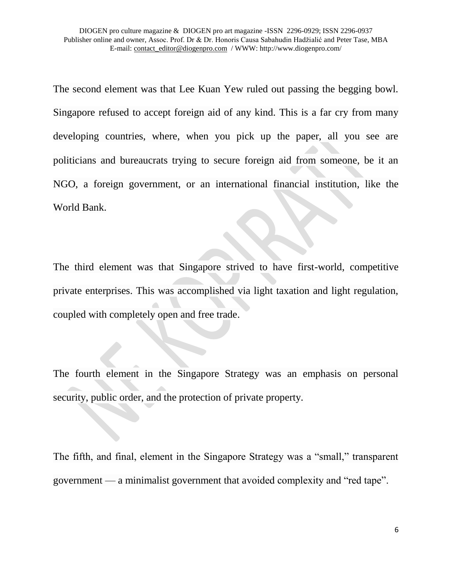The second element was that Lee Kuan Yew ruled out passing the begging bowl. Singapore refused to accept foreign aid of any kind. This is a far cry from many developing countries, where, when you pick up the paper, all you see are politicians and bureaucrats trying to secure foreign aid from someone, be it an NGO, a foreign government, or an international financial institution, like the World Bank.

The third element was that Singapore strived to have first-world, competitive private enterprises. This was accomplished via light taxation and light regulation, coupled with completely open and free trade.

The fourth element in the Singapore Strategy was an emphasis on personal security, public order, and the protection of private property.

The fifth, and final, element in the Singapore Strategy was a "small," transparent government — a minimalist government that avoided complexity and "red tape".